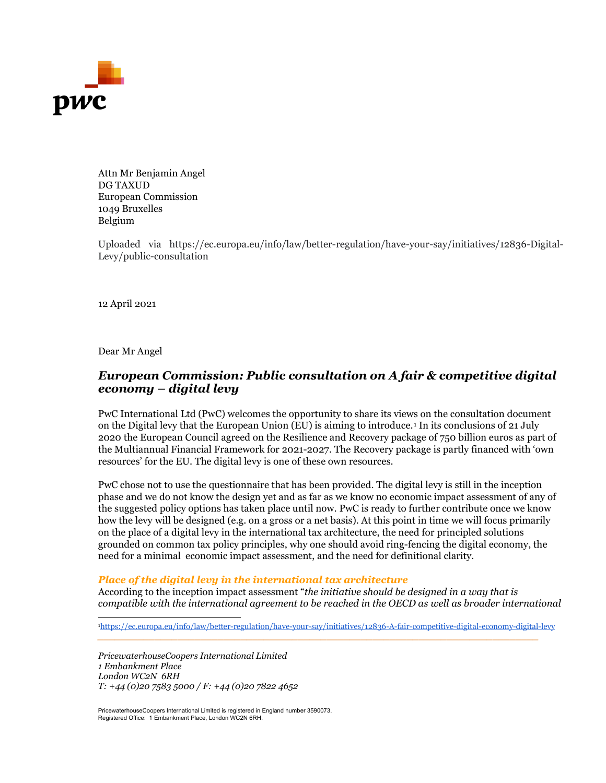

Attn Mr Benjamin Angel DG TAXUD European Commission 1049 Bruxelles Belgium

Uploaded via https://ec.europa.eu/info/law/better-regulation/have-your-say/initiatives/12836-Digital-Levy/public-consultation

12 April 2021

Dear Mr Angel

# *European Commission: Public consultation on A fair & competitive digital economy – digital levy*

PwC International Ltd (PwC) welcomes the opportunity to share its views on the consultation document on the Digital levy that the European Union (EU) is aiming to introduce.[1](#page-0-0) In its conclusions of 21 July 2020 the European Council agreed on the Resilience and Recovery package of 750 billion euros as part of the Multiannual Financial Framework for 2021-2027. The Recovery package is partly financed with 'own resources' for the EU. The digital levy is one of these own resources.

PwC chose not to use the questionnaire that has been provided. The digital levy is still in the inception phase and we do not know the design yet and as far as we know no economic impact assessment of any of the suggested policy options has taken place until now. PwC is ready to further contribute once we know how the levy will be designed (e.g. on a gross or a net basis). At this point in time we will focus primarily on the place of a digital levy in the international tax architecture, the need for principled solutions grounded on common tax policy principles, why one should avoid ring-fencing the digital economy, the need for a minimal economic impact assessment, and the need for definitional clarity.

#### *Place of the digital levy in the international tax architecture*

According to the inception impact assessment "*the initiative should be designed in a way that is compatible with the international agreement to be reached in the OECD as well as broader international* 

<span id="page-0-0"></span>[1https://ec.europa.eu/info/law/better-regulation/have-your-say/initiatives/12836-A-fair-competitive-digital-economy-digital-levy](https://ec.europa.eu/info/law/better-regulation/have-your-say/initiatives/12836-A-fair-competitive-digital-economy-digital-levy)

*\_\_\_\_\_\_\_\_\_\_\_\_\_\_\_\_\_\_\_\_\_\_\_\_\_\_\_\_\_\_\_\_\_\_\_\_\_\_\_\_\_\_\_\_\_\_\_\_\_\_\_\_\_\_\_\_\_\_\_\_\_\_\_\_\_\_\_\_\_\_\_\_\_\_\_\_\_*

*PricewaterhouseCoopers International Limited 1 Embankment Place London WC2N 6RH T: +44 (0)20 7583 5000 / F: +44 (0)20 7822 4652*

PricewaterhouseCoopers International Limited is registered in England number 3590073. Registered Office: 1 Embankment Place, London WC2N 6RH.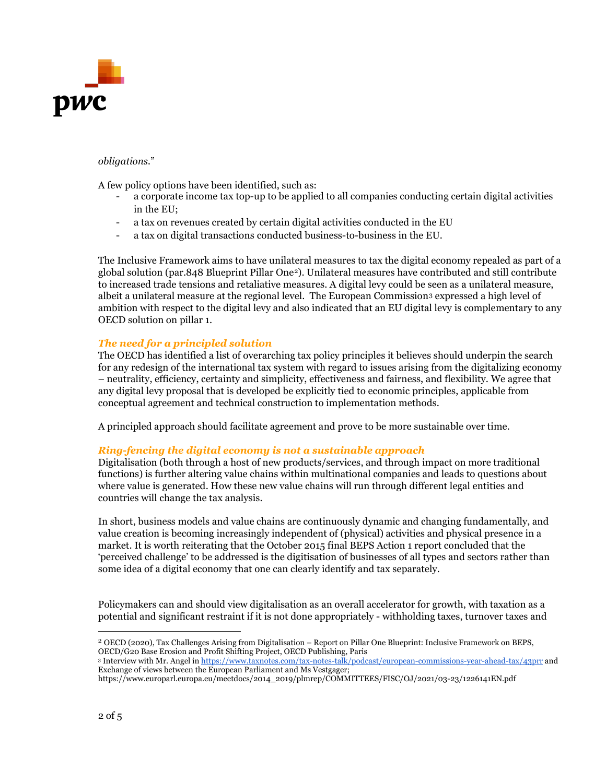

## *obligations.*"

A few policy options have been identified, such as:

- a corporate income tax top-up to be applied to all companies conducting certain digital activities in the EU;
- a tax on revenues created by certain digital activities conducted in the EU
- a tax on digital transactions conducted business-to-business in the EU.

The Inclusive Framework aims to have unilateral measures to tax the digital economy repealed as part of a global solution (par.848 Blueprint Pillar One[2](#page-1-0)). Unilateral measures have contributed and still contribute to increased trade tensions and retaliative measures. A digital levy could be seen as a unilateral measure, albeit a unilateral measure at the regional level. The European Commission[3](#page-1-1) expressed a high level of ambition with respect to the digital levy and also indicated that an EU digital levy is complementary to any OECD solution on pillar 1.

## *The need for a principled solution*

The OECD has identified a list of overarching tax policy principles it believes should underpin the search for any redesign of the international tax system with regard to issues arising from the digitalizing economy – neutrality, efficiency, certainty and simplicity, effectiveness and fairness, and flexibility. We agree that any digital levy proposal that is developed be explicitly tied to economic principles, applicable from conceptual agreement and technical construction to implementation methods.

A principled approach should facilitate agreement and prove to be more sustainable over time.

### *Ring-fencing the digital economy is not a sustainable approach*

Digitalisation (both through a host of new products/services, and through impact on more traditional functions) is further altering value chains within multinational companies and leads to questions about where value is generated. How these new value chains will run through different legal entities and countries will change the tax analysis.

In short, business models and value chains are continuously dynamic and changing fundamentally, and value creation is becoming increasingly independent of (physical) activities and physical presence in a market. It is worth reiterating that the October 2015 final BEPS Action 1 report concluded that the 'perceived challenge' to be addressed is the digitisation of businesses of all types and sectors rather than some idea of a digital economy that one can clearly identify and tax separately.

Policymakers can and should view digitalisation as an overall accelerator for growth, with taxation as a potential and significant restraint if it is not done appropriately - withholding taxes, turnover taxes and

<span id="page-1-0"></span><sup>2</sup> OECD (2020), Tax Challenges Arising from Digitalisation – Report on Pillar One Blueprint: Inclusive Framework on BEPS, OECD/G20 Base Erosion and Profit Shifting Project, OECD Publishing, Paris

<span id="page-1-1"></span><sup>3</sup> Interview with Mr. Angel i[n https://www.taxnotes.com/tax-notes-talk/podcast/european-commissions-year-ahead-tax/43prr](https://www.taxnotes.com/tax-notes-talk/podcast/european-commissions-year-ahead-tax/43prr) and Exchange of views between the European Parliament and Ms Vestgager;

https://www.europarl.europa.eu/meetdocs/2014\_2019/plmrep/COMMITTEES/FISC/OJ/2021/03-23/1226141EN.pdf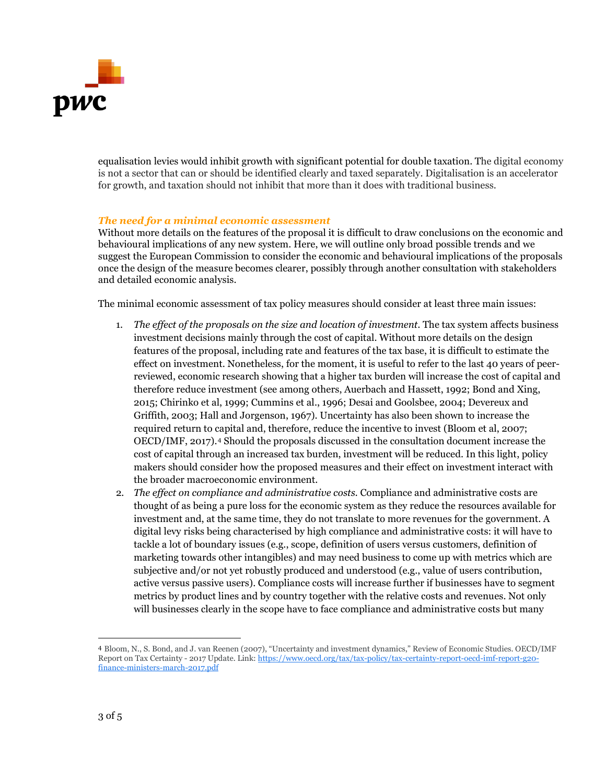

equalisation levies would inhibit growth with significant potential for double taxation. The digital economy is not a sector that can or should be identified clearly and taxed separately. Digitalisation is an accelerator for growth, and taxation should not inhibit that more than it does with traditional business.

## *The need for a minimal economic assessment*

Without more details on the features of the proposal it is difficult to draw conclusions on the economic and behavioural implications of any new system. Here, we will outline only broad possible trends and we suggest the European Commission to consider the economic and behavioural implications of the proposals once the design of the measure becomes clearer, possibly through another consultation with stakeholders and detailed economic analysis.

The minimal economic assessment of tax policy measures should consider at least three main issues:

- 1. *The effect of the proposals on the size and location of investment.* The tax system affects business investment decisions mainly through the cost of capital. Without more details on the design features of the proposal, including rate and features of the tax base, it is difficult to estimate the effect on investment. Nonetheless, for the moment, it is useful to refer to the last 40 years of peerreviewed, economic research showing that a higher tax burden will increase the cost of capital and therefore reduce investment (see among others, Auerbach and Hassett, 1992; Bond and Xing, 2015; Chirinko et al, 1999; Cummins et al., 1996; Desai and Goolsbee, 2004; Devereux and Griffith, 2003; Hall and Jorgenson, 1967). Uncertainty has also been shown to increase the required return to capital and, therefore, reduce the incentive to invest (Bloom et al, 2007; OECD/IMF, 2017).[4](#page-2-0) Should the proposals discussed in the consultation document increase the cost of capital through an increased tax burden, investment will be reduced. In this light, policy makers should consider how the proposed measures and their effect on investment interact with the broader macroeconomic environment.
- 2. *The effect on compliance and administrative costs.* Compliance and administrative costs are thought of as being a pure loss for the economic system as they reduce the resources available for investment and, at the same time, they do not translate to more revenues for the government. A digital levy risks being characterised by high compliance and administrative costs: it will have to tackle a lot of boundary issues (e.g., scope, definition of users versus customers, definition of marketing towards other intangibles) and may need business to come up with metrics which are subjective and/or not yet robustly produced and understood (e.g., value of users contribution, active versus passive users). Compliance costs will increase further if businesses have to segment metrics by product lines and by country together with the relative costs and revenues. Not only will businesses clearly in the scope have to face compliance and administrative costs but many

<span id="page-2-0"></span><sup>4</sup> Bloom, N., S. Bond, and J. van Reenen (2007), "Uncertainty and investment dynamics," Review of Economic Studies. OECD/IMF Report on Tax Certainty - 2017 Update. Lin[k:](https://www.oecd.org/tax/tax-policy/tax-certainty-report-oecd-imf-report-g20-finance-ministers-march-2017.pdf) [https://www.oecd.org/tax/tax-policy/tax-certainty-report-oecd-imf-report-g20](https://www.oecd.org/tax/tax-policy/tax-certainty-report-oecd-imf-report-g20-finance-ministers-march-2017.pdf) [finance-ministers-march-2017.pdf](https://www.oecd.org/tax/tax-policy/tax-certainty-report-oecd-imf-report-g20-finance-ministers-march-2017.pdf)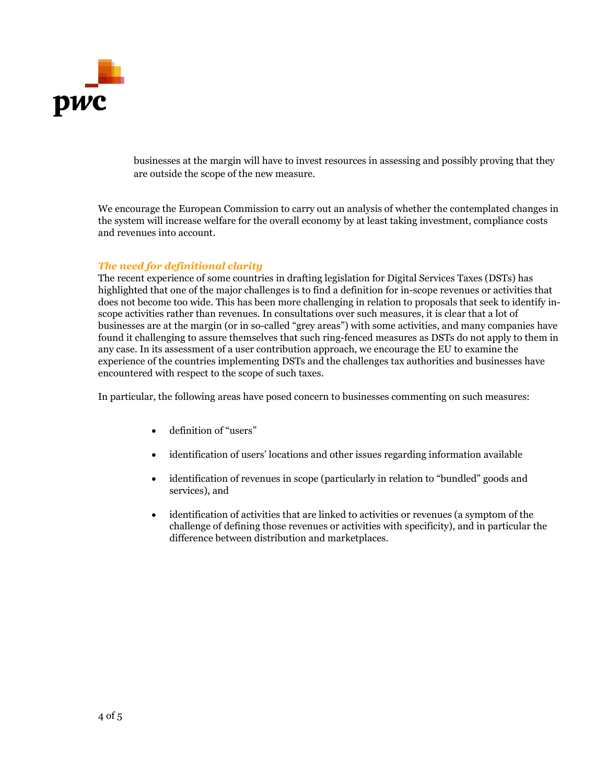

businesses at the margin will have to invest resources in assessing and possibly proving that they are outside the scope of the new measure.

We encourage the European Commission to carry out an analysis of whether the contemplated changes in the system will increase welfare for the overall economy by at least taking investment, compliance costs and revenues into account.

## *The need for definitional clarity*

The recent experience of some countries in drafting legislation for Digital Services Taxes (DSTs) has highlighted that one of the major challenges is to find a definition for in-scope revenues or activities that does not become too wide. This has been more challenging in relation to proposals that seek to identify inscope activities rather than revenues. In consultations over such measures, it is clear that a lot of businesses are at the margin (or in so-called "grey areas") with some activities, and many companies have found it challenging to assure themselves that such ring-fenced measures as DSTs do not apply to them in any case. In its assessment of a user contribution approach, we encourage the EU to examine the experience of the countries implementing DSTs and the challenges tax authorities and businesses have encountered with respect to the scope of such taxes.

In particular, the following areas have posed concern to businesses commenting on such measures:

- definition of "users"
- identification of users' locations and other issues regarding information available
- identification of revenues in scope (particularly in relation to "bundled" goods and services), and
- identification of activities that are linked to activities or revenues (a symptom of the challenge of defining those revenues or activities with specificity), and in particular the difference between distribution and marketplaces.